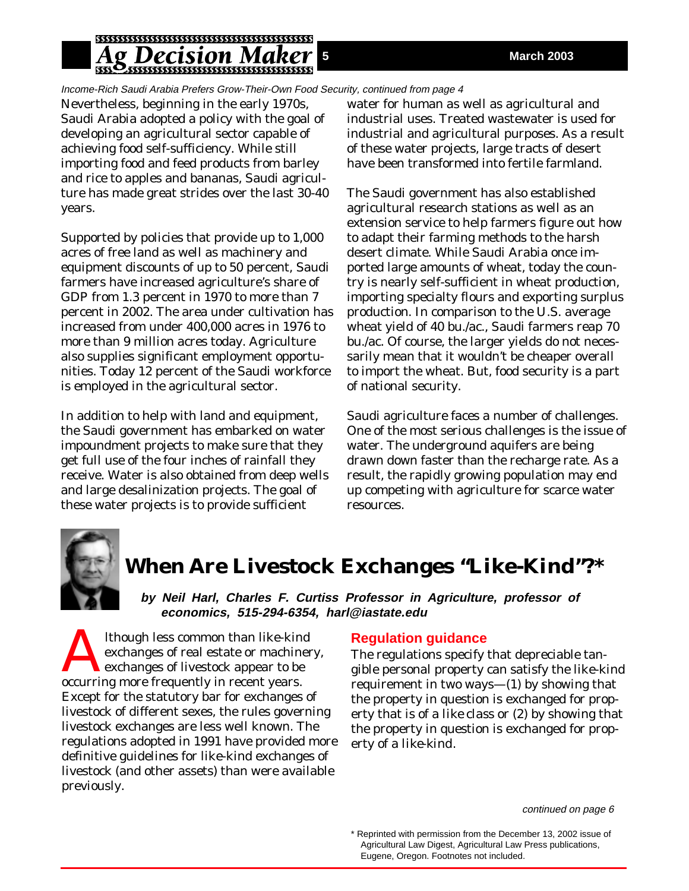# *ecision N*

Income-Rich Saudi Arabia Prefers Grow-Their-Own Food Security, continued from page 4

Nevertheless, beginning in the early 1970s, Saudi Arabia adopted a policy with the goal of developing an agricultural sector capable of achieving food self-sufficiency. While still importing food and feed products from barley and rice to apples and bananas, Saudi agriculture has made great strides over the last 30-40 years.

Supported by policies that provide up to 1,000 acres of free land as well as machinery and equipment discounts of up to 50 percent, Saudi farmers have increased agriculture's share of GDP from 1.3 percent in 1970 to more than 7 percent in 2002. The area under cultivation has increased from under 400,000 acres in 1976 to more than 9 million acres today. Agriculture also supplies significant employment opportunities. Today 12 percent of the Saudi workforce is employed in the agricultural sector.

In addition to help with land and equipment, the Saudi government has embarked on water impoundment projects to make sure that they get full use of the four inches of rainfall they receive. Water is also obtained from deep wells and large desalinization projects. The goal of these water projects is to provide sufficient

water for human as well as agricultural and industrial uses. Treated wastewater is used for industrial and agricultural purposes. As a result of these water projects, large tracts of desert have been transformed into fertile farmland.

The Saudi government has also established agricultural research stations as well as an extension service to help farmers figure out how to adapt their farming methods to the harsh desert climate. While Saudi Arabia once imported large amounts of wheat, today the country is nearly self-sufficient in wheat production, importing specialty flours and exporting surplus production. In comparison to the U.S. average wheat yield of 40 bu./ac., Saudi farmers reap 70 bu./ac. Of course, the larger yields do not necessarily mean that it wouldn't be cheaper overall to import the wheat. But, food security is a part of national security.

Saudi agriculture faces a number of challenges. One of the most serious challenges is the issue of water. The underground aquifers are being drawn down faster than the recharge rate. As a result, the rapidly growing population may end up competing with agriculture for scarce water resources.



# **When Are Livestock Exchanges "Like-Kind"?\***

**by Neil Harl, Charles F. Curtiss Professor in Agriculture, professor of economics, 515-294-6354, harl@iastate.edu**

Although less common than like-kind<br>exchanges of real estate or machine<br>exchanges of livestock appear to be<br>excluring more frequently in recent years exchanges of real estate or machinery, exchanges of livestock appear to be occurring more frequently in recent years. Except for the statutory bar for exchanges of livestock of different sexes, the rules governing livestock exchanges are less well known. The regulations adopted in 1991 have provided more definitive guidelines for like-kind exchanges of livestock (and other assets) than were available previously.

## **Regulation guidance**

The regulations specify that depreciable tangible personal property can satisfy the like-kind requirement in two ways—(1) by showing that the property in question is exchanged for property that is of a *like class* or (2) by showing that the property in question is exchanged for property of a *like-kind*.

continued on page 6

<sup>\*</sup> Reprinted with permission from the December 13, 2002 issue of Agricultural Law Digest, Agricultural Law Press publications, Eugene, Oregon. Footnotes not included.